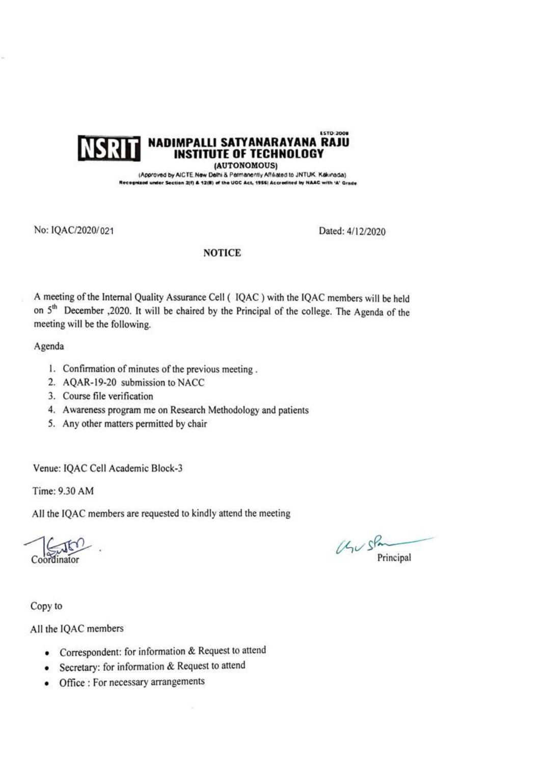#### **ESTO: 2008** NADIMPALLI SATYANARAYANA RAJU **INST** ITUTE OF TECHNOLOGY

(AUTONOMOUS)

(Approved by AICTE New Delhi & Permanently Affalated to JNTUK, Kakinada) sized under Section 2(f) & 12(B) of the UOC Act, 1956) Accredited by NAAC with 'A' Grade

No: IQAC/2020/021

Dated: 4/12/2020

### **NOTICE**

A meeting of the Internal Quality Assurance Cell ( IQAC ) with the IQAC members will be held on 5<sup>th</sup> December ,2020. It will be chaired by the Principal of the college. The Agenda of the meeting will be the following.

# Agenda

- 1. Confirmation of minutes of the previous meeting.
- 2. AOAR-19-20 submission to NACC
- 3. Course file verification
- 4. Awareness program me on Research Methodology and patients
- 5. Any other matters permitted by chair

Venue: IQAC Cell Academic Block-3

Time: 9.30 AM

All the IQAC members are requested to kindly attend the meeting

 $U<sub>1</sub>$   $S<sup>P</sup>$ Principal

Copy to

All the IQAC members

- Correspondent: for information & Request to attend
- Secretary: for information & Request to attend
- Office : For necessary arrangements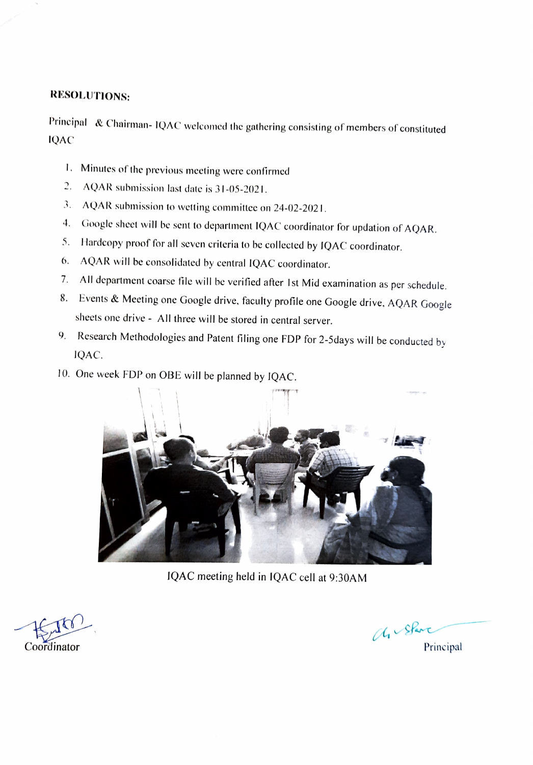# RESOLUTIONS:

Principal & Chairman- 1QAC welcomed the gathering consisting of members of constituted **IQAC** 

- I. Minutes of the previous meeting were confirmed
- AQAR submission last date is 31-05-2021.
- 3. AQAR submission to wetting committec on 24-02-2021.
- 4. Google sheet will be sent to department IQAC coordinator for updation of AQAR.
- 5. Hardcopy proof for all seven criteria to bc collected by 1QAC coordinator.
- 6. AQAR will be consolidated by central IQAC coordinator.
- 7. All department coarse file will be verified after lst Mid examination as per schedule.
- 8. Events & Meeting one Google drive, faculty profile one Google drive, AQAR Google sheets one drive - All three will be stored in central server.
- 9. Research Methodologies and Patent filing one FDP for 2-5days will be conducted by 1QAC.
- 10. One week FDP on OBE will be planned by 1QAC.



IQAC meeting held in 1QAC cell at 9:30AM

Coordinator Principal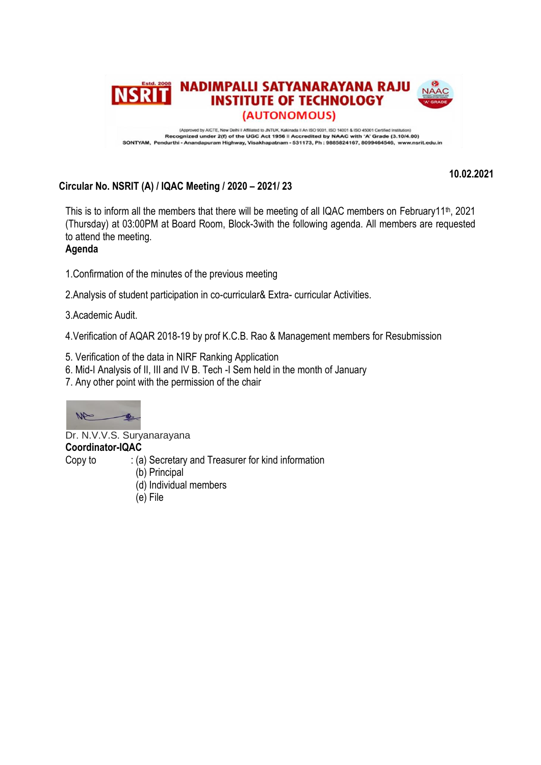

**10.02.2021**

# **Circular No. NSRIT (A) / IQAC Meeting / 2020 – 2021/ 23**

This is to inform all the members that there will be meeting of all IQAC members on February11<sup>th</sup>, 2021 (Thursday) at 03:00PM at Board Room, Block-3with the following agenda. All members are requested to attend the meeting.

# **Agenda**

1.Confirmation of the minutes of the previous meeting

2.Analysis of student participation in co-curricular& Extra- curricular Activities.

3.Academic Audit.

4.Verification of AQAR 2018-19 by prof K.C.B. Rao & Management members for Resubmission

- 5. Verification of the data in NIRF Ranking Application
- 6. Mid-I Analysis of II, III and IV B. Tech -I Sem held in the month of January
- 7. Any other point with the permission of the chair



Dr. N.V.V.S. Suryanarayana

# **Coordinator-IQAC**

Copy to : (a) Secretary and Treasurer for kind information

- (b) Principal
	- (d) Individual members
	- (e) File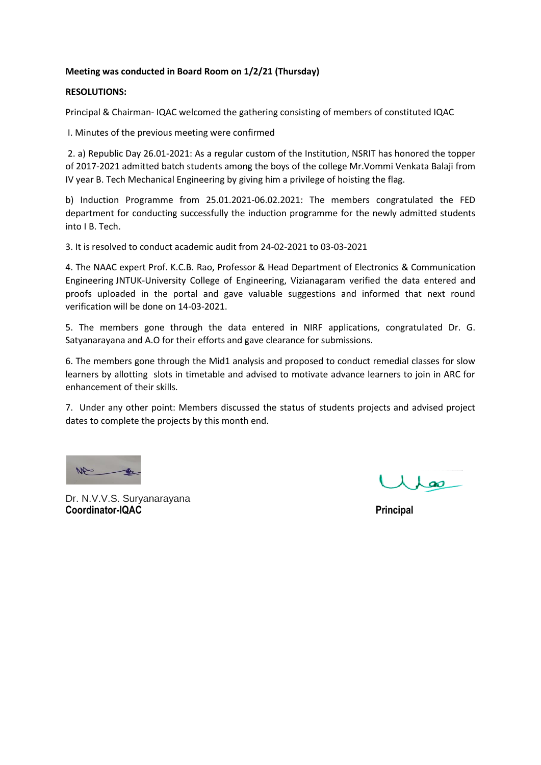### **Meeting was conducted in Board Room on 1/2/21 (Thursday)**

### **RESOLUTIONS:**

Principal & Chairman- IQAC welcomed the gathering consisting of members of constituted IQAC

I. Minutes of the previous meeting were confirmed

2. a) Republic Day 26.01-2021: As a regular custom of the Institution, NSRIT has honored the topper of 2017-2021 admitted batch students among the boys of the college Mr.Vommi Venkata Balaji from IV year B. Tech Mechanical Engineering by giving him a privilege of hoisting the flag.

b) Induction Programme from 25.01.2021-06.02.2021: The members congratulated the FED department for conducting successfully the induction programme for the newly admitted students into I B. Tech.

3. It is resolved to conduct academic audit from 24-02-2021 to 03-03-2021

4. The NAAC expert Prof. K.C.B. Rao, Professor & Head Department of Electronics & Communication Engineering JNTUK-University College of Engineering, Vizianagaram verified the data entered and proofs uploaded in the portal and gave valuable suggestions and informed that next round verification will be done on 14-03-2021.

5. The members gone through the data entered in NIRF applications, congratulated Dr. G. Satyanarayana and A.O for their efforts and gave clearance for submissions.

6. The members gone through the Mid1 analysis and proposed to conduct remedial classes for slow learners by allotting slots in timetable and advised to motivate advance learners to join in ARC for enhancement of their skills.

7. Under any other point: Members discussed the status of students projects and advised project dates to complete the projects by this month end.

 $M$ 

Dr. N.V.V.S. Suryanarayana **Coordinator-IQAC** Principal

 $\lambda$   $\lambda$  as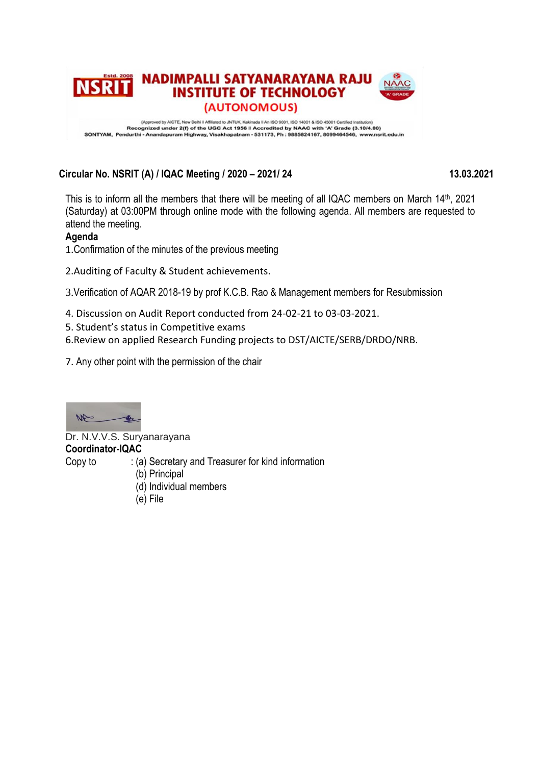

# **Circular No. NSRIT (A) / IQAC Meeting / 2020 – 2021/ 24 13.03.2021**

This is to inform all the members that there will be meeting of all IQAC members on March 14<sup>th</sup>, 2021 (Saturday) at 03:00PM through online mode with the following agenda. All members are requested to attend the meeting.

# **Agenda**

1.Confirmation of the minutes of the previous meeting

2.Auditing of Faculty & Student achievements.

3.Verification of AQAR 2018-19 by prof K.C.B. Rao & Management members for Resubmission

- 4. Discussion on Audit Report conducted from 24-02-21 to 03-03-2021.
- 5. Student's status in Competitive exams

6.Review on applied Research Funding projects to DST/AICTE/SERB/DRDO/NRB.

7. Any other point with the permission of the chair



Dr. N.V.V.S. Suryanarayana **Coordinator-IQAC** Copy to : (a) Secretary and Treasurer for kind information (b) Principal

- (d) Individual members
- (e) File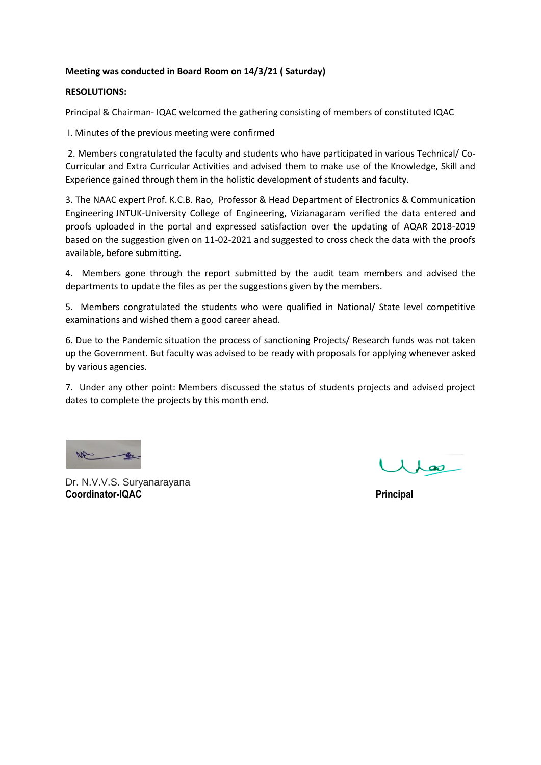# **Meeting was conducted in Board Room on 14/3/21 ( Saturday)**

### **RESOLUTIONS:**

Principal & Chairman- IQAC welcomed the gathering consisting of members of constituted IQAC

I. Minutes of the previous meeting were confirmed

2. Members congratulated the faculty and students who have participated in various Technical/ Co-Curricular and Extra Curricular Activities and advised them to make use of the Knowledge, Skill and Experience gained through them in the holistic development of students and faculty.

3. The NAAC expert Prof. K.C.B. Rao, Professor & Head Department of Electronics & Communication Engineering JNTUK-University College of Engineering, Vizianagaram verified the data entered and proofs uploaded in the portal and expressed satisfaction over the updating of AQAR 2018-2019 based on the suggestion given on 11-02-2021 and suggested to cross check the data with the proofs available, before submitting.

4. Members gone through the report submitted by the audit team members and advised the departments to update the files as per the suggestions given by the members.

5. Members congratulated the students who were qualified in National/ State level competitive examinations and wished them a good career ahead.

6. Due to the Pandemic situation the process of sanctioning Projects/ Research funds was not taken up the Government. But faculty was advised to be ready with proposals for applying whenever asked by various agencies.

7. Under any other point: Members discussed the status of students projects and advised project dates to complete the projects by this month end.

W

Dr. N.V.V.S. Suryanarayana **Coordinator-IQAC** Principal

 $\lambda$   $\lambda$  as  $-$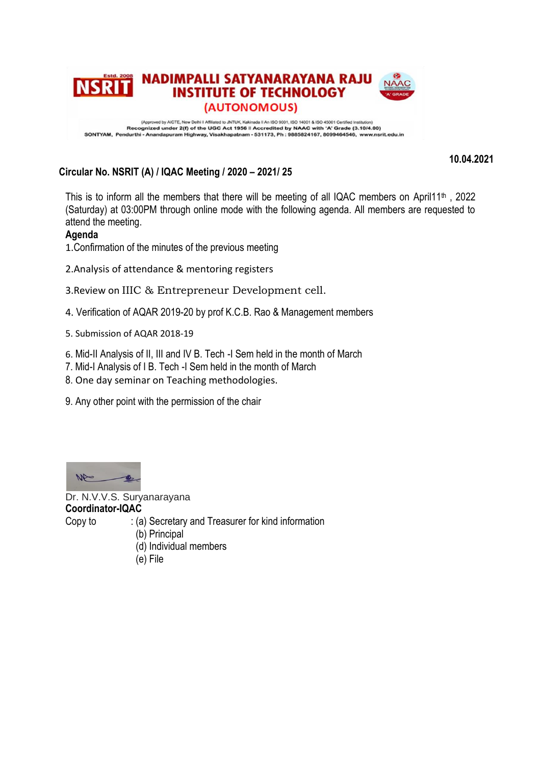

**10.04.2021**

# **Circular No. NSRIT (A) / IQAC Meeting / 2020 – 2021/ 25**

This is to inform all the members that there will be meeting of all IQAC members on April11<sup>th</sup>, 2022 (Saturday) at 03:00PM through online mode with the following agenda. All members are requested to attend the meeting.

# **Agenda**

1.Confirmation of the minutes of the previous meeting

- 2.Analysis of attendance & mentoring registers
- 3.Review on IIIC & Entrepreneur Development cell.
- 4. Verification of AQAR 2019-20 by prof K.C.B. Rao & Management members
- 5. Submission of AQAR 2018-19
- 6. Mid-II Analysis of II, III and IV B. Tech -I Sem held in the month of March
- 7. Mid-I Analysis of I B. Tech -I Sem held in the month of March
- 8. One day seminar on Teaching methodologies.
- 9. Any other point with the permission of the chair



Dr. N.V.V.S. Suryanarayana **Coordinator-IQAC**

Copy to : (a) Secretary and Treasurer for kind information

- (b) Principal
- (d) Individual members
- (e) File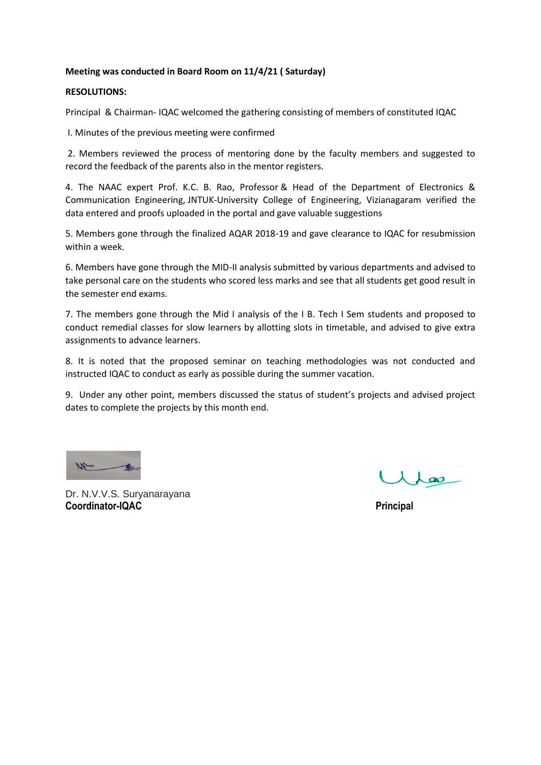### **Meeting was conducted in Board Room on 11/4/21 ( Saturday)**

### **RESOLUTIONS:**

Principal & Chairman- IQAC welcomed the gathering consisting of members of constituted IQAC

I. Minutes of the previous meeting were confirmed

2. Members reviewed the process of mentoring done by the faculty members and suggested to record the feedback of the parents also in the mentor registers.

4. The NAAC expert Prof. K.C. B. Rao, Professor & Head of the Department of Electronics & Communication Engineering, JNTUK-University College of Engineering, Vizianagaram verified the data entered and proofs uploaded in the portal and gave valuable suggestions

5. Members gone through the finalized AQAR 2018-19 and gave clearance to IQAC for resubmission within a week.

6. Members have gone through the MID-II analysis submitted by various departments and advised to take personal care on the students who scored less marks and see that all students get good result in the semester end exams.

7. The members gone through the Mid I analysis of the I B. Tech I Sem students and proposed to conduct remedial classes for slow learners by allotting slots in timetable, and advised to give extra assignments to advance learners.

8. It is noted that the proposed seminar on teaching methodologies was not conducted and instructed IQAC to conduct as early as possible during the summer vacation.

9. Under any other point, members discussed the status of student's projects and advised project dates to complete the projects by this month end.

Dr. N.V.V.S. Suryanarayana **Coordinator-IQAC** Principal

 $\lambda$  and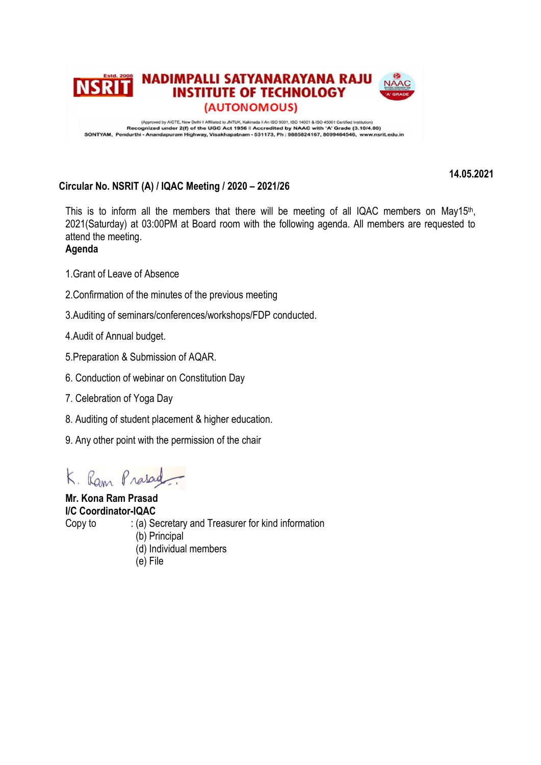

Approved by AICTE, New Delhi I Affiliated to JNTUK, Kakinada II An ISO 9001, ISO 14001 & ISO 45001 Certifed Institution)<br>Recognized under 2(f) of the UGC Act 1956 II Accredited by NAAC with 'A' Grade (3.10/4.00)<br>SONTYAM, P

**14.05.2021**

# **Circular No. NSRIT (A) / IQAC Meeting / 2020 – 2021/26**

This is to inform all the members that there will be meeting of all IQAC members on May15<sup>th</sup>, 2021(Saturday) at 03:00PM at Board room with the following agenda. All members are requested to attend the meeting.

**Agenda**

- 1.Grant of Leave of Absence
- 2.Confirmation of the minutes of the previous meeting
- 3.Auditing of seminars/conferences/workshops/FDP conducted.
- 4.Audit of Annual budget.
- 5.Preparation & Submission of AQAR.
- 6. Conduction of webinar on Constitution Day
- 7. Celebration of Yoga Day
- 8. Auditing of student placement & higher education.
- 9. Any other point with the permission of the chair

K. Ram Prasad

**Mr. Kona Ram Prasad I/C Coordinator-IQAC** Copy to : (a) Secretary and Treasurer for kind information (b) Principal (d) Individual members

(e) File